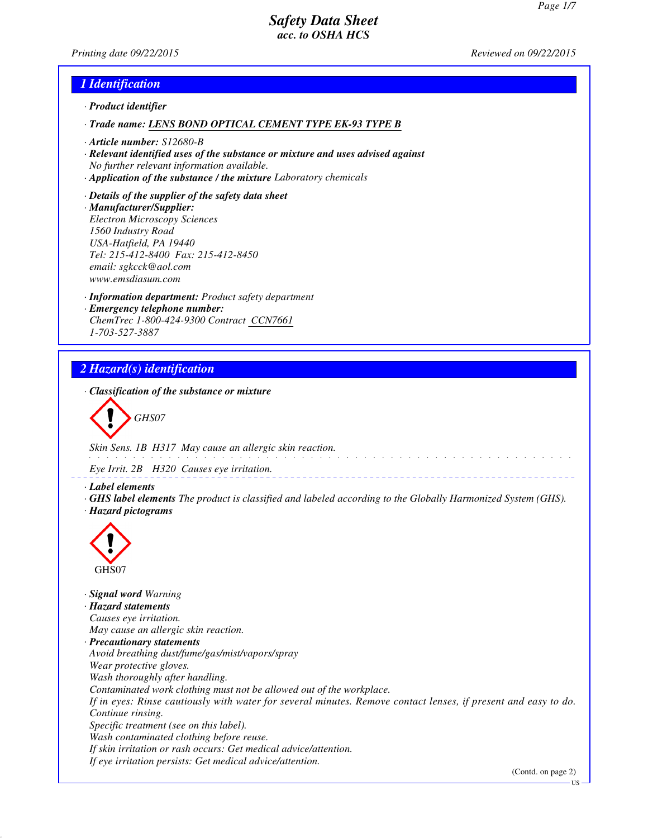*Printing date 09/22/2015 Reviewed on 09/22/2015*

## *1 Identification*

- *· Product identifier*
- *· Trade name: LENS BOND OPTICAL CEMENT TYPE EK-93 TYPE B*
- *· Article number: S12680-B*
- *· Relevant identified uses of the substance or mixture and uses advised against No further relevant information available.*
- *· Application of the substance / the mixture Laboratory chemicals*
- *· Details of the supplier of the safety data sheet · Manufacturer/Supplier: Electron Microscopy Sciences 1560 Industry Road USA-Hatfield, PA 19440 Tel: 215-412-8400 Fax: 215-412-8450 email: sgkcck@aol.com www.emsdiasum.com*
- *· Information department: Product safety department · Emergency telephone number: ChemTrec 1-800-424-9300 Contract CCN7661 1-703-527-3887*

# *2 Hazard(s) identification*

*· Classification of the substance or mixture*

*GHS07*

*Skin Sens. 1B H317 May cause an allergic skin reaction.*

*Eye Irrit. 2B H320 Causes eye irritation.*

*· Label elements*

*· GHS label elements The product is classified and labeled according to the Globally Harmonized System (GHS). · Hazard pictograms*



*· Signal word Warning · Hazard statements Causes eye irritation. May cause an allergic skin reaction. · Precautionary statements Avoid breathing dust/fume/gas/mist/vapors/spray Wear protective gloves. Wash thoroughly after handling. Contaminated work clothing must not be allowed out of the workplace. If in eyes: Rinse cautiously with water for several minutes. Remove contact lenses, if present and easy to do. Continue rinsing. Specific treatment (see on this label). Wash contaminated clothing before reuse. If skin irritation or rash occurs: Get medical advice/attention. If eye irritation persists: Get medical advice/attention.*

(Contd. on page 2)

US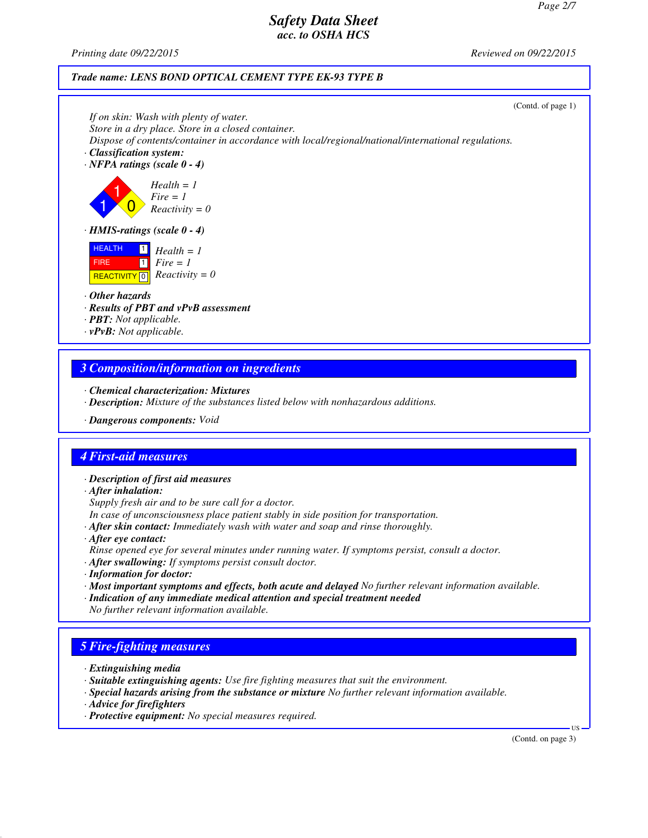*Printing date 09/22/2015 Reviewed on 09/22/2015*

#### *Trade name: LENS BOND OPTICAL CEMENT TYPE EK-93 TYPE B*



## *3 Composition/information on ingredients*

- *· Chemical characterization: Mixtures*
- *· Description: Mixture of the substances listed below with nonhazardous additions.*
- *· Dangerous components: Void*

## *4 First-aid measures*

- *· Description of first aid measures*
- *· After inhalation:*
- *Supply fresh air and to be sure call for a doctor.*
- *In case of unconsciousness place patient stably in side position for transportation.*
- *· After skin contact: Immediately wash with water and soap and rinse thoroughly.*
- *· After eye contact: Rinse opened eye for several minutes under running water. If symptoms persist, consult a doctor.*
- *· After swallowing: If symptoms persist consult doctor.*
- *· Information for doctor:*
- *· Most important symptoms and effects, both acute and delayed No further relevant information available.*
- *· Indication of any immediate medical attention and special treatment needed No further relevant information available.*

## *5 Fire-fighting measures*

- *· Extinguishing media*
- *· Suitable extinguishing agents: Use fire fighting measures that suit the environment.*
- *· Special hazards arising from the substance or mixture No further relevant information available.*
- *· Advice for firefighters*
- *· Protective equipment: No special measures required.*

(Contd. on page 3)

US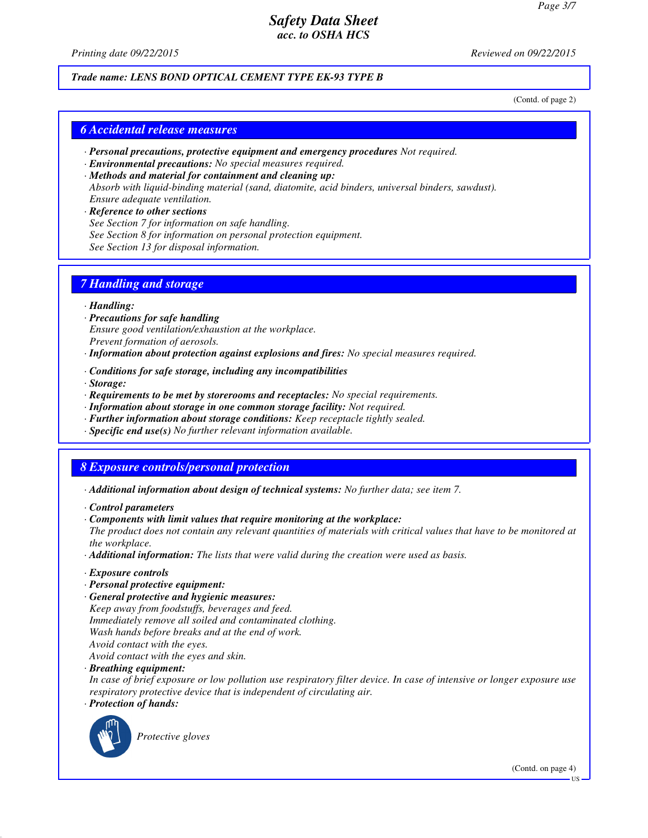*Printing date 09/22/2015 Reviewed on 09/22/2015*

#### *Trade name: LENS BOND OPTICAL CEMENT TYPE EK-93 TYPE B*

(Contd. of page 2)

#### *6 Accidental release measures*

- *· Personal precautions, protective equipment and emergency procedures Not required.*
- *· Environmental precautions: No special measures required.*
- *· Methods and material for containment and cleaning up: Absorb with liquid-binding material (sand, diatomite, acid binders, universal binders, sawdust). Ensure adequate ventilation.*
- *· Reference to other sections See Section 7 for information on safe handling. See Section 8 for information on personal protection equipment. See Section 13 for disposal information.*

## *7 Handling and storage*

#### *· Handling:*

- *· Precautions for safe handling Ensure good ventilation/exhaustion at the workplace. Prevent formation of aerosols.*
- *· Information about protection against explosions and fires: No special measures required.*
- *· Conditions for safe storage, including any incompatibilities*
- *· Storage:*
- *· Requirements to be met by storerooms and receptacles: No special requirements.*
- *· Information about storage in one common storage facility: Not required.*
- *· Further information about storage conditions: Keep receptacle tightly sealed.*
- *· Specific end use(s) No further relevant information available.*

# *8 Exposure controls/personal protection*

- *· Additional information about design of technical systems: No further data; see item 7.*
- *· Control parameters*
- *· Components with limit values that require monitoring at the workplace:*
- *The product does not contain any relevant quantities of materials with critical values that have to be monitored at the workplace.*
- *· Additional information: The lists that were valid during the creation were used as basis.*
- *· Exposure controls*
- *· Personal protective equipment:*
- *· General protective and hygienic measures: Keep away from foodstuffs, beverages and feed. Immediately remove all soiled and contaminated clothing. Wash hands before breaks and at the end of work. Avoid contact with the eyes.*

*Avoid contact with the eyes and skin.*

*· Breathing equipment:*

*In case of brief exposure or low pollution use respiratory filter device. In case of intensive or longer exposure use respiratory protective device that is independent of circulating air.*

*· Protection of hands:*



*Protective gloves*

(Contd. on page 4)

US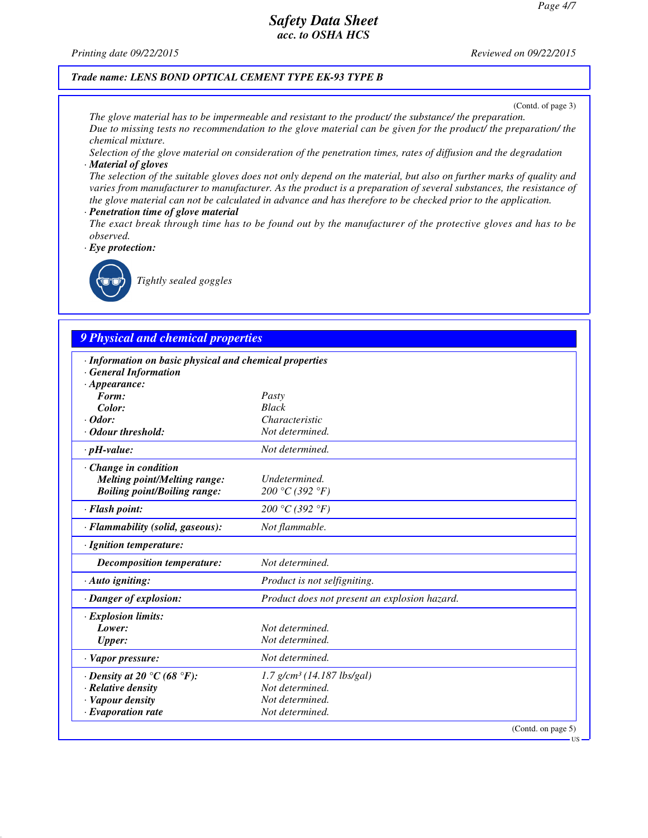*Printing date 09/22/2015 Reviewed on 09/22/2015*

#### *Trade name: LENS BOND OPTICAL CEMENT TYPE EK-93 TYPE B*

(Contd. of page 3)

*The glove material has to be impermeable and resistant to the product/ the substance/ the preparation. Due to missing tests no recommendation to the glove material can be given for the product/ the preparation/ the chemical mixture.*

*Selection of the glove material on consideration of the penetration times, rates of diffusion and the degradation · Material of gloves*

*The selection of the suitable gloves does not only depend on the material, but also on further marks of quality and varies from manufacturer to manufacturer. As the product is a preparation of several substances, the resistance of the glove material can not be calculated in advance and has therefore to be checked prior to the application.*

- *· Penetration time of glove material*
- *The exact break through time has to be found out by the manufacturer of the protective gloves and has to be observed.*

*· Eye protection:*



*Tightly sealed goggles*

## *9 Physical and chemical properties*

| · Information on basic physical and chemical properties<br><b>General Information</b> |                                               |  |
|---------------------------------------------------------------------------------------|-----------------------------------------------|--|
| $\cdot$ Appearance:                                                                   |                                               |  |
| Form:                                                                                 | Pasty                                         |  |
| Color:                                                                                | <b>Black</b>                                  |  |
| $\cdot$ Odor:                                                                         | Characteristic                                |  |
| Odour threshold:                                                                      | Not determined.                               |  |
| $\cdot$ pH-value:                                                                     | Not determined.                               |  |
| $\cdot$ Change in condition                                                           |                                               |  |
| <b>Melting point/Melting range:</b>                                                   | <b>Undetermined</b>                           |  |
| <b>Boiling point/Boiling range:</b>                                                   | 200 °C (392 °F)                               |  |
| · Flash point:                                                                        | 200 °C (392 °F)                               |  |
| · Flammability (solid, gaseous):                                                      | Not flammable.                                |  |
| · Ignition temperature:                                                               |                                               |  |
| Decomposition temperature:                                                            | Not determined.                               |  |
| $\cdot$ Auto igniting:                                                                | Product is not selfigniting.                  |  |
| · Danger of explosion:                                                                | Product does not present an explosion hazard. |  |
| · Explosion limits:                                                                   |                                               |  |
| Lower:                                                                                | Not determined.                               |  |
| <b>Upper:</b>                                                                         | Not determined.                               |  |
| · Vapor pressure:                                                                     | Not determined.                               |  |
| $\cdot$ Density at 20 $\degree$ C (68 $\degree$ F):                                   | $1.7$ g/cm <sup>3</sup> (14.187 lbs/gal)      |  |
| $\cdot$ Relative density                                                              | Not determined.                               |  |
| · Vapour density                                                                      | Not determined.                               |  |
| $\cdot$ Evaporation rate                                                              | Not determined.                               |  |
|                                                                                       | (Contd. on page 5)                            |  |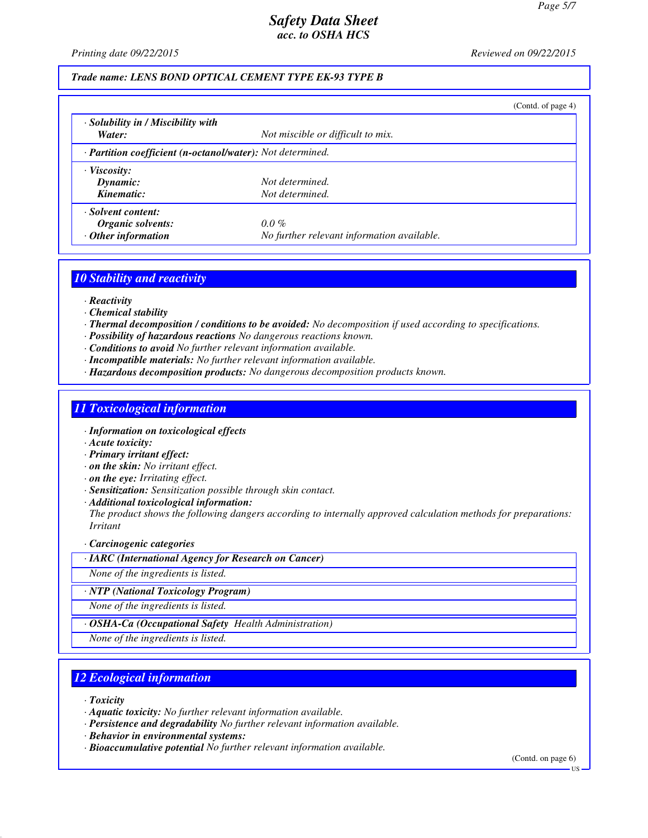*Printing date 09/22/2015 Reviewed on 09/22/2015*

## *Trade name: LENS BOND OPTICAL CEMENT TYPE EK-93 TYPE B*

|                                                            |                                            | (Contd. of page 4) |
|------------------------------------------------------------|--------------------------------------------|--------------------|
| · Solubility in / Miscibility with                         |                                            |                    |
| Water:                                                     | Not miscible or difficult to mix.          |                    |
| · Partition coefficient (n-octanol/water): Not determined. |                                            |                    |
| $\cdot$ Viscosity:                                         |                                            |                    |
| Dynamic:                                                   | Not determined.                            |                    |
| Kinematic:                                                 | Not determined.                            |                    |
| · Solvent content:                                         |                                            |                    |
| Organic solvents:                                          | $0.0\%$                                    |                    |
| $\cdot$ Other information                                  | No further relevant information available. |                    |

#### *10 Stability and reactivity*

- *· Reactivity*
- *· Chemical stability*
- *· Thermal decomposition / conditions to be avoided: No decomposition if used according to specifications.*
- *· Possibility of hazardous reactions No dangerous reactions known.*
- *· Conditions to avoid No further relevant information available.*
- *· Incompatible materials: No further relevant information available.*
- *· Hazardous decomposition products: No dangerous decomposition products known.*

#### *11 Toxicological information*

- *· Information on toxicological effects*
- *· Acute toxicity:*
- *· Primary irritant effect:*
- *· on the skin: No irritant effect.*
- *· on the eye: Irritating effect.*
- *· Sensitization: Sensitization possible through skin contact.*
- *· Additional toxicological information:*

*The product shows the following dangers according to internally approved calculation methods for preparations: Irritant*

#### *· Carcinogenic categories*

*· IARC (International Agency for Research on Cancer)*

*None of the ingredients is listed.*

*· NTP (National Toxicology Program)*

*None of the ingredients is listed.*

*· OSHA-Ca (Occupational Safety Health Administration)*

*None of the ingredients is listed.*

## *12 Ecological information*

*· Toxicity*

*· Aquatic toxicity: No further relevant information available.*

- *· Persistence and degradability No further relevant information available.*
- *· Behavior in environmental systems:*
- *· Bioaccumulative potential No further relevant information available.*

(Contd. on page 6)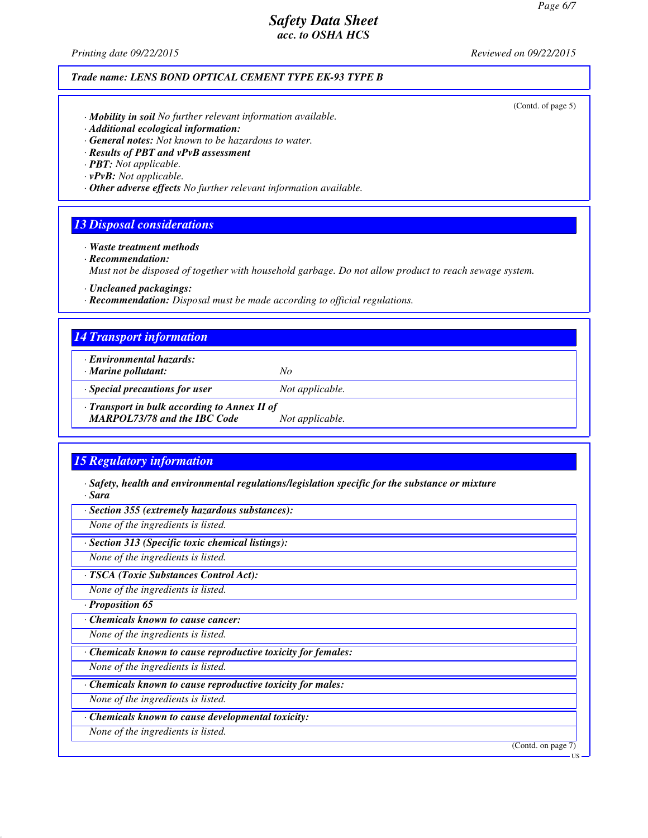*Printing date 09/22/2015 Reviewed on 09/22/2015*

#### *Trade name: LENS BOND OPTICAL CEMENT TYPE EK-93 TYPE B*

(Contd. of page 5)

- *· Mobility in soil No further relevant information available.*
- *· Additional ecological information:*
- *· General notes: Not known to be hazardous to water.*
- *· Results of PBT and vPvB assessment*
- *· PBT: Not applicable.*
- *· vPvB: Not applicable.*
- *· Other adverse effects No further relevant information available.*

#### *13 Disposal considerations*

*· Waste treatment methods*

*· Recommendation:*

*Must not be disposed of together with household garbage. Do not allow product to reach sewage system.*

*· Uncleaned packagings:*

*· Recommendation: Disposal must be made according to official regulations.*

#### *14 Transport information*

- *· Environmental hazards:*
- *· Marine pollutant: No*
- *· Special precautions for user Not applicable.*

*· Transport in bulk according to Annex II of*

*MARPOL73/78 and the IBC Code Not applicable.*

## *15 Regulatory information*

- *· Safety, health and environmental regulations/legislation specific for the substance or mixture · Sara*
- *· Section 355 (extremely hazardous substances):*

*None of the ingredients is listed.*

*· Section 313 (Specific toxic chemical listings):*

*None of the ingredients is listed.*

*· TSCA (Toxic Substances Control Act):*

*None of the ingredients is listed.*

*· Proposition 65*

*· Chemicals known to cause cancer:*

*None of the ingredients is listed.*

*· Chemicals known to cause reproductive toxicity for females:*

*None of the ingredients is listed.*

*· Chemicals known to cause reproductive toxicity for males:*

*None of the ingredients is listed.*

*· Chemicals known to cause developmental toxicity:*

*None of the ingredients is listed.*

(Contd. on page 7)

US